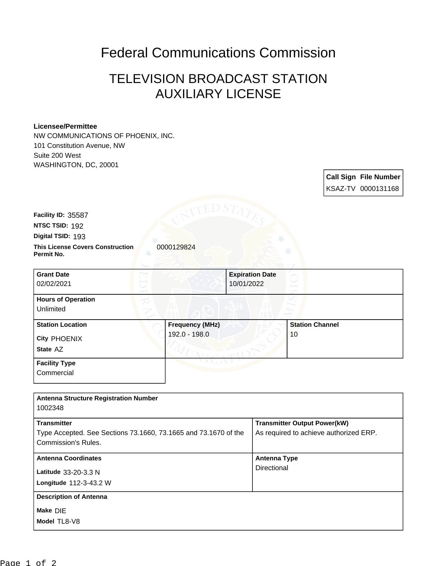## Federal Communications Commission

## TELEVISION BROADCAST STATION AUXILIARY LICENSE

## **Licensee/Permittee**

NW COMMUNICATIONS OF PHOENIX, INC. 101 Constitution Avenue, NW Suite 200 West WASHINGTON, DC, 20001

| 0000129824<br><b>Grant Date</b><br><b>Expiration Date</b><br>10/01/2022<br>02/02/2021<br><b>Hours of Operation</b><br>Unlimited | KSAZ-TV 0000131168     |
|---------------------------------------------------------------------------------------------------------------------------------|------------------------|
|                                                                                                                                 |                        |
| Facility ID: 35587<br>NTSC TSID: 192<br>Digital TSID: 193                                                                       |                        |
|                                                                                                                                 |                        |
|                                                                                                                                 |                        |
| <b>This License Covers Construction</b><br>Permit No.                                                                           |                        |
|                                                                                                                                 |                        |
|                                                                                                                                 |                        |
|                                                                                                                                 |                        |
|                                                                                                                                 |                        |
|                                                                                                                                 |                        |
| <b>Station Location</b><br><b>Frequency (MHz)</b>                                                                               | <b>Station Channel</b> |
| 192.0 - 198.0<br>City PHOENIX                                                                                                   | 10                     |
| State AZ                                                                                                                        |                        |
| <b>Facility Type</b>                                                                                                            |                        |
| Commercial                                                                                                                      |                        |

| 1002348                                                                                                      |                                                                               |
|--------------------------------------------------------------------------------------------------------------|-------------------------------------------------------------------------------|
| <b>Transmitter</b><br>Type Accepted. See Sections 73.1660, 73.1665 and 73.1670 of the<br>Commission's Rules. | <b>Transmitter Output Power(kW)</b><br>As required to achieve authorized ERP. |
| <b>Antenna Coordinates</b><br>Latitude 33-20-3.3 N<br>Longitude 112-3-43.2 W                                 | <b>Antenna Type</b><br>Directional                                            |
| <b>Description of Antenna</b><br>Make DIE<br>Model TL8-V8                                                    |                                                                               |